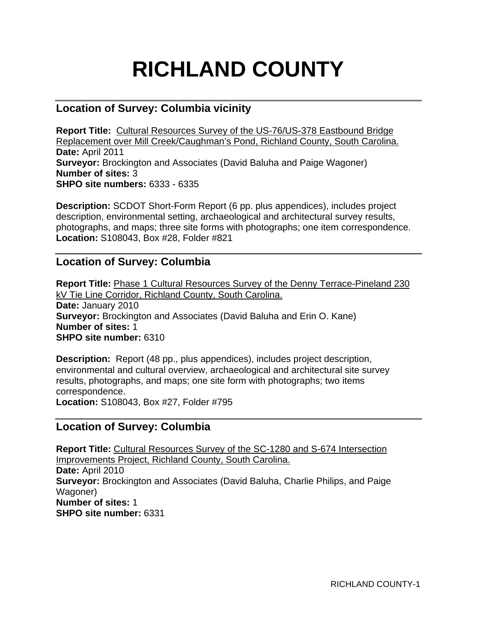# **RICHLAND COUNTY**

# **Location of Survey: Columbia vicinity**

**Report Title:** Cultural Resources Survey of the US-76/US-378 Eastbound Bridge Replacement over Mill Creek/Caughman's Pond, Richland County, South Carolina. **Date:** April 2011 **Surveyor:** Brockington and Associates (David Baluha and Paige Wagoner) **Number of sites:** 3 **SHPO site numbers:** 6333 - 6335

**Description:** SCDOT Short-Form Report (6 pp. plus appendices), includes project description, environmental setting, archaeological and architectural survey results, photographs, and maps; three site forms with photographs; one item correspondence. **Location:** S108043, Box #28, Folder #821

# **Location of Survey: Columbia**

**Report Title:** Phase 1 Cultural Resources Survey of the Denny Terrace-Pineland 230 kV Tie Line Corridor, Richland County, South Carolina. **Date:** January 2010 **Surveyor:** Brockington and Associates (David Baluha and Erin O. Kane) **Number of sites:** 1 **SHPO site number:** 6310

**Description:** Report (48 pp., plus appendices), includes project description, environmental and cultural overview, archaeological and architectural site survey results, photographs, and maps; one site form with photographs; two items correspondence.

**Location:** S108043, Box #27, Folder #795

# **Location of Survey: Columbia**

**Report Title:** Cultural Resources Survey of the SC-1280 and S-674 Intersection Improvements Project, Richland County, South Carolina. **Date:** April 2010 **Surveyor:** Brockington and Associates (David Baluha, Charlie Philips, and Paige Wagoner) **Number of sites:** 1 **SHPO site number:** 6331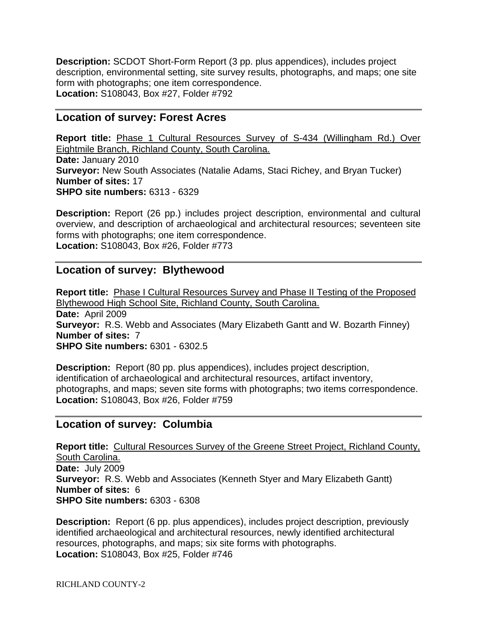**Description:** SCDOT Short-Form Report (3 pp. plus appendices), includes project description, environmental setting, site survey results, photographs, and maps; one site form with photographs; one item correspondence. **Location:** S108043, Box #27, Folder #792

#### **Location of survey: Forest Acres**

**Report title:** Phase 1 Cultural Resources Survey of S-434 (Willingham Rd.) Over Eightmile Branch, Richland County, South Carolina. **Date:** January 2010 **Surveyor:** New South Associates (Natalie Adams, Staci Richey, and Bryan Tucker) **Number of sites:** 17 **SHPO site numbers:** 6313 - 6329

**Description:** Report (26 pp.) includes project description, environmental and cultural overview, and description of archaeological and architectural resources; seventeen site forms with photographs; one item correspondence. **Location:** S108043, Box #26, Folder #773

## **Location of survey: Blythewood**

**Report title:** Phase I Cultural Resources Survey and Phase II Testing of the Proposed Blythewood High School Site, Richland County, South Carolina. **Date:** April 2009 **Surveyor:** R.S. Webb and Associates (Mary Elizabeth Gantt and W. Bozarth Finney) **Number of sites:** 7 **SHPO Site numbers:** 6301 - 6302.5

**Description:** Report (80 pp. plus appendices), includes project description, identification of archaeological and architectural resources, artifact inventory, photographs, and maps; seven site forms with photographs; two items correspondence. **Location:** S108043, Box #26, Folder #759

# **Location of survey: Columbia**

**Report title:** Cultural Resources Survey of the Greene Street Project, Richland County, South Carolina. **Date:** July 2009 **Surveyor:** R.S. Webb and Associates (Kenneth Styer and Mary Elizabeth Gantt) **Number of sites:** 6 **SHPO Site numbers:** 6303 - 6308

**Description:** Report (6 pp. plus appendices), includes project description, previously identified archaeological and architectural resources, newly identified architectural resources, photographs, and maps; six site forms with photographs. **Location:** S108043, Box #25, Folder #746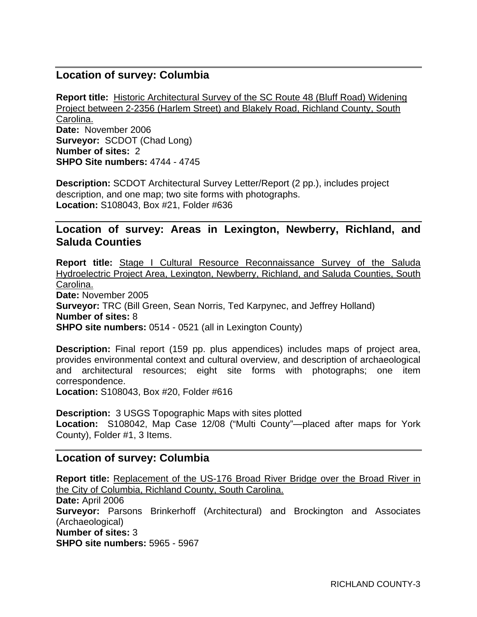# **Location of survey: Columbia**

**Report title:** Historic Architectural Survey of the SC Route 48 (Bluff Road) Widening Project between 2-2356 (Harlem Street) and Blakely Road, Richland County, South Carolina. **Date:** November 2006 **Surveyor:** SCDOT (Chad Long) **Number of sites:** 2 **SHPO Site numbers:** 4744 - 4745

**Description:** SCDOT Architectural Survey Letter/Report (2 pp.), includes project description, and one map; two site forms with photographs. **Location:** S108043, Box #21, Folder #636

## **Location of survey: Areas in Lexington, Newberry, Richland, and Saluda Counties**

**Report title:** Stage I Cultural Resource Reconnaissance Survey of the Saluda Hydroelectric Project Area, Lexington, Newberry, Richland, and Saluda Counties, South Carolina. **Date:** November 2005 **Surveyor:** TRC (Bill Green, Sean Norris, Ted Karpynec, and Jeffrey Holland) **Number of sites:** 8 **SHPO site numbers:** 0514 - 0521 (all in Lexington County)

**Description:** Final report (159 pp. plus appendices) includes maps of project area, provides environmental context and cultural overview, and description of archaeological and architectural resources; eight site forms with photographs; one item correspondence.

**Location:** S108043, Box #20, Folder #616

**Description:** 3 USGS Topographic Maps with sites plotted **Location:** S108042, Map Case 12/08 ("Multi County"—placed after maps for York County), Folder #1, 3 Items.

#### **Location of survey: Columbia**

**Report title:** Replacement of the US-176 Broad River Bridge over the Broad River in the City of Columbia, Richland County, South Carolina. **Date:** April 2006 **Surveyor:** Parsons Brinkerhoff (Architectural) and Brockington and Associates (Archaeological) **Number of sites:** 3 **SHPO site numbers:** 5965 - 5967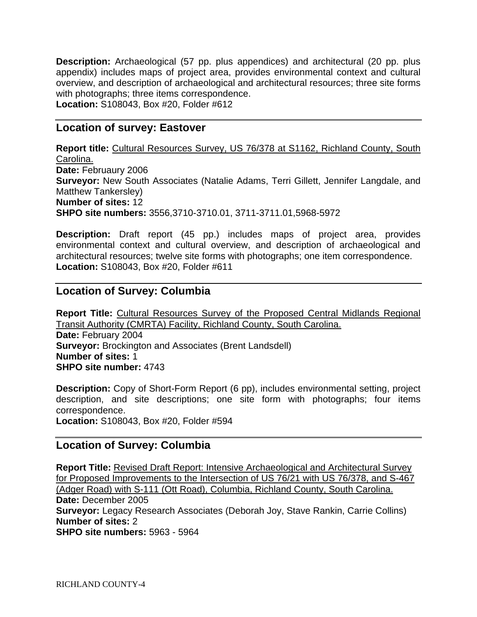**Description:** Archaeological (57 pp. plus appendices) and architectural (20 pp. plus appendix) includes maps of project area, provides environmental context and cultural overview, and description of archaeological and architectural resources; three site forms with photographs; three items correspondence. **Location:** S108043, Box #20, Folder #612

## **Location of survey: Eastover**

**Report title:** Cultural Resources Survey, US 76/378 at S1162, Richland County, South Carolina. **Date:** Februaury 2006 **Surveyor:** New South Associates (Natalie Adams, Terri Gillett, Jennifer Langdale, and Matthew Tankersley) **Number of sites:** 12 **SHPO site numbers:** 3556,3710-3710.01, 3711-3711.01,5968-5972

**Description:** Draft report (45 pp.) includes maps of project area, provides environmental context and cultural overview, and description of archaeological and architectural resources; twelve site forms with photographs; one item correspondence. **Location:** S108043, Box #20, Folder #611

# **Location of Survey: Columbia**

**Report Title:** Cultural Resources Survey of the Proposed Central Midlands Regional Transit Authority (CMRTA) Facility, Richland County, South Carolina. **Date:** February 2004 **Surveyor:** Brockington and Associates (Brent Landsdell) **Number of sites:** 1 **SHPO site number:** 4743

**Description:** Copy of Short-Form Report (6 pp), includes environmental setting, project description, and site descriptions; one site form with photographs; four items correspondence. **Location:** S108043, Box #20, Folder #594

# **Location of Survey: Columbia**

**Report Title:** Revised Draft Report: Intensive Archaeological and Architectural Survey for Proposed Improvements to the Intersection of US 76/21 with US 76/378, and S-467 (Adger Road) with S-111 (Ott Road), Columbia, Richland County, South Carolina. **Date:** December 2005 **Surveyor:** Legacy Research Associates (Deborah Joy, Stave Rankin, Carrie Collins) **Number of sites:** 2 **SHPO site numbers:** 5963 - 5964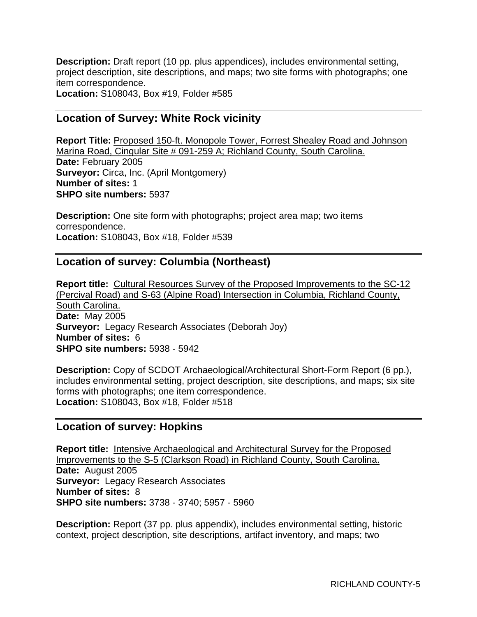**Description:** Draft report (10 pp. plus appendices), includes environmental setting, project description, site descriptions, and maps; two site forms with photographs; one item correspondence. **Location:** S108043, Box #19, Folder #585

## **Location of Survey: White Rock vicinity**

**Report Title:** Proposed 150-ft. Monopole Tower, Forrest Shealey Road and Johnson Marina Road, Cingular Site # 091-259 A; Richland County, South Carolina. **Date:** February 2005 **Surveyor:** Circa, Inc. (April Montgomery) **Number of sites:** 1 **SHPO site numbers:** 5937

**Description:** One site form with photographs; project area map; two items correspondence. **Location:** S108043, Box #18, Folder #539

# **Location of survey: Columbia (Northeast)**

**Report title:** Cultural Resources Survey of the Proposed Improvements to the SC-12 (Percival Road) and S-63 (Alpine Road) Intersection in Columbia, Richland County, South Carolina. **Date:** May 2005 **Surveyor:** Legacy Research Associates (Deborah Joy) **Number of sites:** 6 **SHPO site numbers:** 5938 - 5942

**Description:** Copy of SCDOT Archaeological/Architectural Short-Form Report (6 pp.), includes environmental setting, project description, site descriptions, and maps; six site forms with photographs; one item correspondence. **Location:** S108043, Box #18, Folder #518

#### **Location of survey: Hopkins**

**Report title:** Intensive Archaeological and Architectural Survey for the Proposed Improvements to the S-5 (Clarkson Road) in Richland County, South Carolina. **Date:** August 2005 **Surveyor:** Legacy Research Associates **Number of sites:** 8 **SHPO site numbers:** 3738 - 3740; 5957 - 5960

**Description:** Report (37 pp. plus appendix), includes environmental setting, historic context, project description, site descriptions, artifact inventory, and maps; two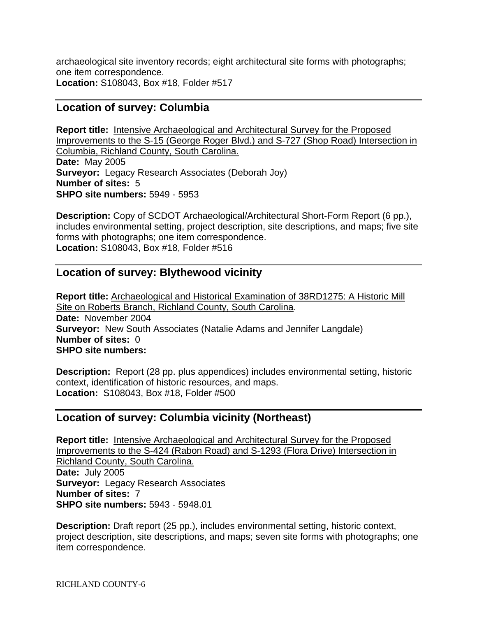archaeological site inventory records; eight architectural site forms with photographs; one item correspondence. **Location:** S108043, Box #18, Folder #517

# **Location of survey: Columbia**

**Report title:** Intensive Archaeological and Architectural Survey for the Proposed Improvements to the S-15 (George Roger Blvd.) and S-727 (Shop Road) Intersection in Columbia, Richland County, South Carolina. **Date:** May 2005 **Surveyor:** Legacy Research Associates (Deborah Joy) **Number of sites:** 5 **SHPO site numbers:** 5949 - 5953

**Description:** Copy of SCDOT Archaeological/Architectural Short-Form Report (6 pp.), includes environmental setting, project description, site descriptions, and maps; five site forms with photographs; one item correspondence. **Location:** S108043, Box #18, Folder #516

# **Location of survey: Blythewood vicinity**

**Report title:** Archaeological and Historical Examination of 38RD1275: A Historic Mill Site on Roberts Branch, Richland County, South Carolina. **Date:** November 2004 **Surveyor:** New South Associates (Natalie Adams and Jennifer Langdale) **Number of sites:** 0 **SHPO site numbers:**

**Description:** Report (28 pp. plus appendices) includes environmental setting, historic context, identification of historic resources, and maps. **Location:** S108043, Box #18, Folder #500

# **Location of survey: Columbia vicinity (Northeast)**

**Report title:** Intensive Archaeological and Architectural Survey for the Proposed Improvements to the S-424 (Rabon Road) and S-1293 (Flora Drive) Intersection in Richland County, South Carolina. **Date:** July 2005 **Surveyor:** Legacy Research Associates **Number of sites:** 7 **SHPO site numbers:** 5943 - 5948.01

**Description:** Draft report (25 pp.), includes environmental setting, historic context, project description, site descriptions, and maps; seven site forms with photographs; one item correspondence.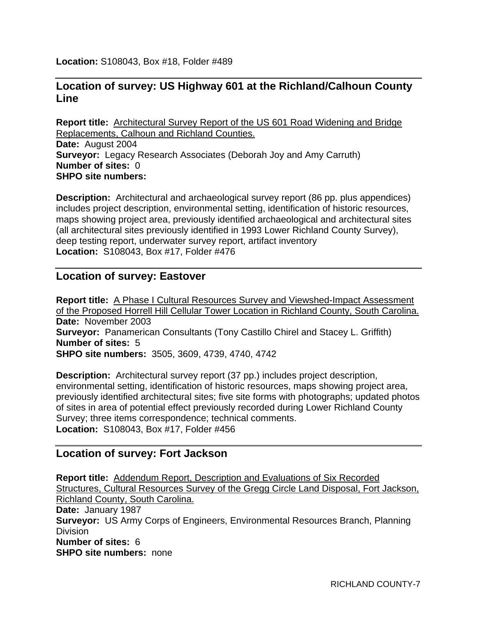**Location:** S108043, Box #18, Folder #489

# **Location of survey: US Highway 601 at the Richland/Calhoun County Line**

**Report title:** Architectural Survey Report of the US 601 Road Widening and Bridge Replacements, Calhoun and Richland Counties. **Date:** August 2004 **Surveyor:** Legacy Research Associates (Deborah Joy and Amy Carruth) **Number of sites:** 0 **SHPO site numbers:**

**Description:** Architectural and archaeological survey report (86 pp. plus appendices) includes project description, environmental setting, identification of historic resources, maps showing project area, previously identified archaeological and architectural sites (all architectural sites previously identified in 1993 Lower Richland County Survey), deep testing report, underwater survey report, artifact inventory **Location:** S108043, Box #17, Folder #476

## **Location of survey: Eastover**

**Report title:** A Phase I Cultural Resources Survey and Viewshed-Impact Assessment of the Proposed Horrell Hill Cellular Tower Location in Richland County, South Carolina. **Date:** November 2003 **Surveyor:** Panamerican Consultants (Tony Castillo Chirel and Stacey L. Griffith) **Number of sites:** 5 **SHPO site numbers:** 3505, 3609, 4739, 4740, 4742

**Description:** Architectural survey report (37 pp.) includes project description, environmental setting, identification of historic resources, maps showing project area, previously identified architectural sites; five site forms with photographs; updated photos of sites in area of potential effect previously recorded during Lower Richland County Survey; three items correspondence; technical comments. **Location:** S108043, Box #17, Folder #456

# **Location of survey: Fort Jackson**

**Report title:** Addendum Report, Description and Evaluations of Six Recorded Structures, Cultural Resources Survey of the Gregg Circle Land Disposal, Fort Jackson, Richland County, South Carolina. **Date:** January 1987 **Surveyor:** US Army Corps of Engineers, Environmental Resources Branch, Planning Division **Number of sites:** 6 **SHPO site numbers:** none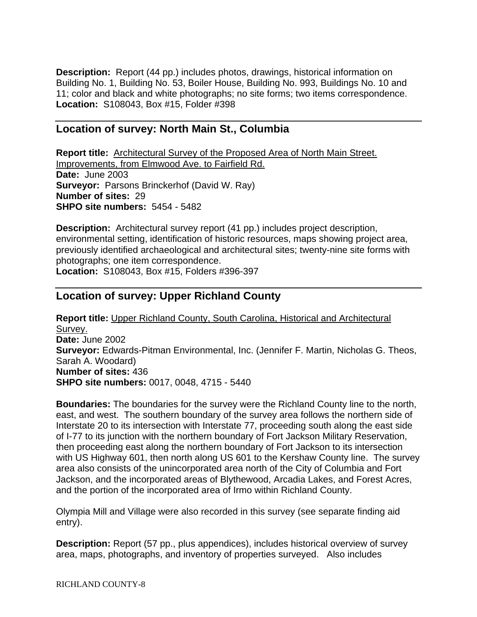**Description:** Report (44 pp.) includes photos, drawings, historical information on Building No. 1, Building No. 53, Boiler House, Building No. 993, Buildings No. 10 and 11; color and black and white photographs; no site forms; two items correspondence. **Location:** S108043, Box #15, Folder #398

## **Location of survey: North Main St., Columbia**

**Report title:** Architectural Survey of the Proposed Area of North Main Street. Improvements, from Elmwood Ave. to Fairfield Rd. **Date:** June 2003 **Surveyor:** Parsons Brinckerhof (David W. Ray) **Number of sites:** 29 **SHPO site numbers:** 5454 - 5482

**Description:** Architectural survey report (41 pp.) includes project description, environmental setting, identification of historic resources, maps showing project area, previously identified archaeological and architectural sites; twenty-nine site forms with photographs; one item correspondence. **Location:** S108043, Box #15, Folders #396-397

# **Location of survey: Upper Richland County**

**Report title:** Upper Richland County, South Carolina, Historical and Architectural Survey. **Date:** June 2002 **Surveyor:** Edwards-Pitman Environmental, Inc. (Jennifer F. Martin, Nicholas G. Theos, Sarah A. Woodard) **Number of sites:** 436 **SHPO site numbers:** 0017, 0048, 4715 - 5440

**Boundaries:** The boundaries for the survey were the Richland County line to the north, east, and west. The southern boundary of the survey area follows the northern side of Interstate 20 to its intersection with Interstate 77, proceeding south along the east side of I-77 to its junction with the northern boundary of Fort Jackson Military Reservation, then proceeding east along the northern boundary of Fort Jackson to its intersection with US Highway 601, then north along US 601 to the Kershaw County line. The survey area also consists of the unincorporated area north of the City of Columbia and Fort Jackson, and the incorporated areas of Blythewood, Arcadia Lakes, and Forest Acres, and the portion of the incorporated area of Irmo within Richland County.

Olympia Mill and Village were also recorded in this survey (see separate finding aid entry).

**Description:** Report (57 pp., plus appendices), includes historical overview of survey area, maps, photographs, and inventory of properties surveyed. Also includes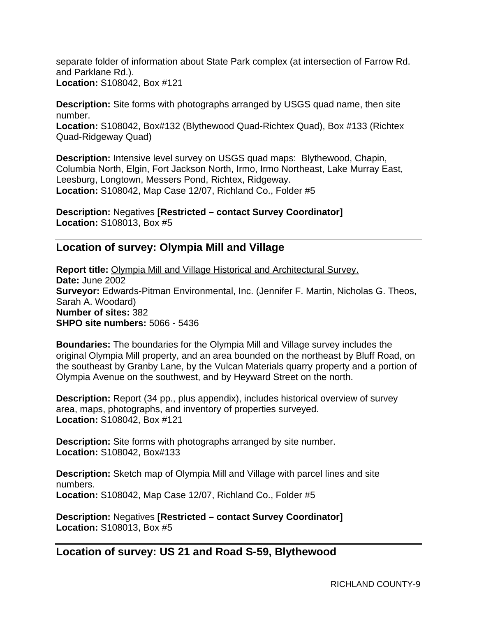separate folder of information about State Park complex (at intersection of Farrow Rd. and Parklane Rd.). **Location:** S108042, Box #121

**Description:** Site forms with photographs arranged by USGS quad name, then site number.

**Location:** S108042, Box#132 (Blythewood Quad-Richtex Quad), Box #133 (Richtex Quad-Ridgeway Quad)

**Description:** Intensive level survey on USGS quad maps: Blythewood, Chapin, Columbia North, Elgin, Fort Jackson North, Irmo, Irmo Northeast, Lake Murray East, Leesburg, Longtown, Messers Pond, Richtex, Ridgeway. **Location:** S108042, Map Case 12/07, Richland Co., Folder #5

**Description:** Negatives **[Restricted – contact Survey Coordinator] Location:** S108013, Box #5

# **Location of survey: Olympia Mill and Village**

**Report title:** Olympia Mill and Village Historical and Architectural Survey. **Date:** June 2002 **Surveyor:** Edwards-Pitman Environmental, Inc. (Jennifer F. Martin, Nicholas G. Theos, Sarah A. Woodard) **Number of sites:** 382 **SHPO site numbers:** 5066 - 5436

**Boundaries:** The boundaries for the Olympia Mill and Village survey includes the original Olympia Mill property, and an area bounded on the northeast by Bluff Road, on the southeast by Granby Lane, by the Vulcan Materials quarry property and a portion of Olympia Avenue on the southwest, and by Heyward Street on the north.

**Description:** Report (34 pp., plus appendix), includes historical overview of survey area, maps, photographs, and inventory of properties surveyed. **Location:** S108042, Box #121

**Description:** Site forms with photographs arranged by site number. **Location:** S108042, Box#133

**Description:** Sketch map of Olympia Mill and Village with parcel lines and site numbers. **Location:** S108042, Map Case 12/07, Richland Co., Folder #5

**Description:** Negatives **[Restricted – contact Survey Coordinator] Location:** S108013, Box #5

# **Location of survey: US 21 and Road S-59, Blythewood**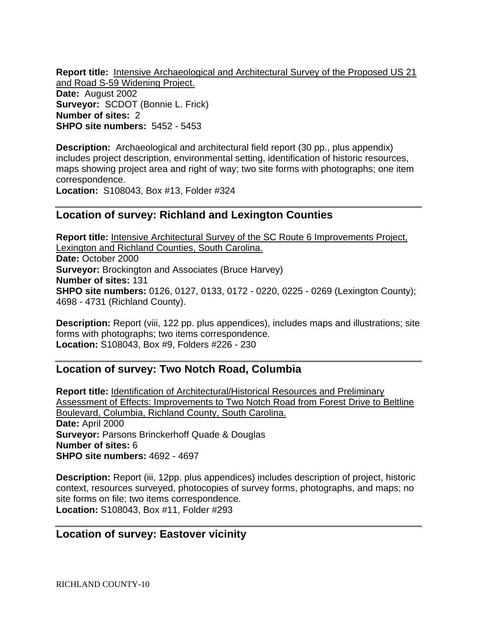**Report title:** Intensive Archaeological and Architectural Survey of the Proposed US 21 and Road S-59 Widening Project.

**Date:** August 2002 **Surveyor:** SCDOT (Bonnie L. Frick) **Number of sites:** 2 **SHPO site numbers:** 5452 - 5453

**Description:** Archaeological and architectural field report (30 pp., plus appendix) includes project description, environmental setting, identification of historic resources, maps showing project area and right of way; two site forms with photographs; one item correspondence.

**Location:** S108043, Box #13, Folder #324

# **Location of survey: Richland and Lexington Counties**

**Report title:** Intensive Architectural Survey of the SC Route 6 Improvements Project, Lexington and Richland Counties, South Carolina. **Date:** October 2000 **Surveyor:** Brockington and Associates (Bruce Harvey) **Number of sites:** 131 **SHPO site numbers:** 0126, 0127, 0133, 0172 - 0220, 0225 - 0269 (Lexington County); 4698 - 4731 (Richland County).

**Description:** Report (viii, 122 pp. plus appendices), includes maps and illustrations; site forms with photographs; two items correspondence. **Location:** S108043, Box #9, Folders #226 - 230

# **Location of survey: Two Notch Road, Columbia**

**Report title:** Identification of Architectural/Historical Resources and Preliminary Assessment of Effects: Improvements to Two Notch Road from Forest Drive to Beltline Boulevard, Columbia, Richland County, South Carolina. **Date:** April 2000 **Surveyor:** Parsons Brinckerhoff Quade & Douglas **Number of sites:** 6 **SHPO site numbers:** 4692 - 4697

**Description:** Report (iii, 12pp. plus appendices) includes description of project, historic context, resources surveyed, photocopies of survey forms, photographs, and maps; no site forms on file; two items correspondence. **Location:** S108043, Box #11, Folder #293

# **Location of survey: Eastover vicinity**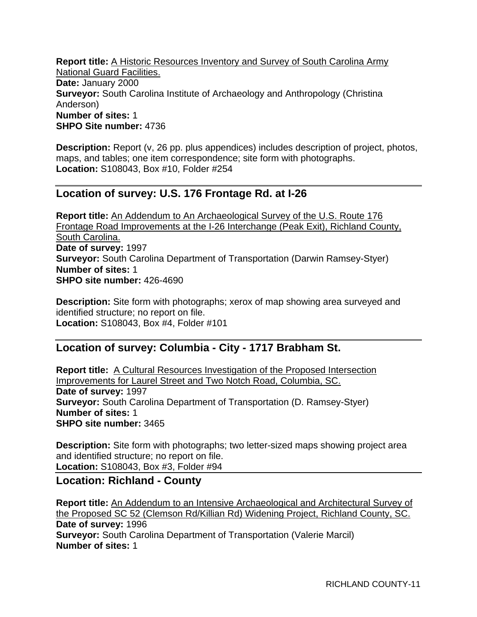**Report title:** A Historic Resources Inventory and Survey of South Carolina Army National Guard Facilities. **Date:** January 2000 **Surveyor:** South Carolina Institute of Archaeology and Anthropology (Christina Anderson) **Number of sites:** 1 **SHPO Site number:** 4736

**Description:** Report (v, 26 pp. plus appendices) includes description of project, photos, maps, and tables; one item correspondence; site form with photographs. **Location:** S108043, Box #10, Folder #254

# **Location of survey: U.S. 176 Frontage Rd. at I-26**

**Report title:** An Addendum to An Archaeological Survey of the U.S. Route 176 Frontage Road Improvements at the I-26 Interchange (Peak Exit), Richland County, South Carolina. **Date of survey:** 1997 **Surveyor:** South Carolina Department of Transportation (Darwin Ramsey-Styer) **Number of sites:** 1 **SHPO site number:** 426-4690

**Description:** Site form with photographs; xerox of map showing area surveyed and identified structure; no report on file. **Location:** S108043, Box #4, Folder #101

# **Location of survey: Columbia - City - 1717 Brabham St.**

**Report title:** A Cultural Resources Investigation of the Proposed Intersection Improvements for Laurel Street and Two Notch Road, Columbia, SC. **Date of survey:** 1997 **Surveyor:** South Carolina Department of Transportation (D. Ramsey-Styer) **Number of sites:** 1 **SHPO site number:** 3465

**Description:** Site form with photographs; two letter-sized maps showing project area and identified structure; no report on file. **Location:** S108043, Box #3, Folder #94

# **Location: Richland - County**

**Report title:** An Addendum to an Intensive Archaeological and Architectural Survey of the Proposed SC 52 (Clemson Rd/Killian Rd) Widening Project, Richland County, SC. **Date of survey:** 1996 **Surveyor:** South Carolina Department of Transportation (Valerie Marcil) **Number of sites:** 1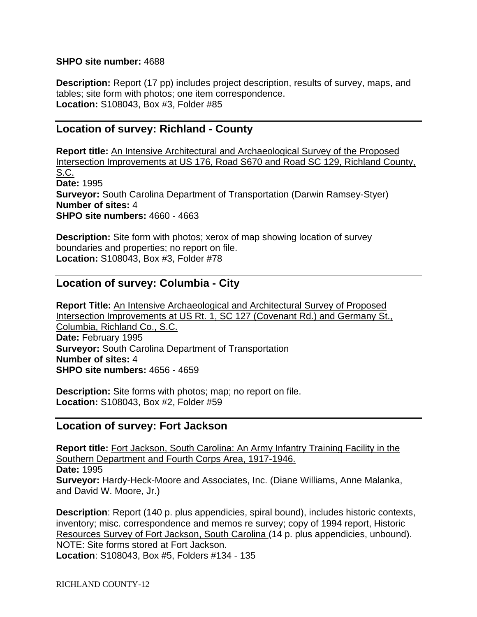#### **SHPO site number:** 4688

**Description:** Report (17 pp) includes project description, results of survey, maps, and tables; site form with photos; one item correspondence. **Location:** S108043, Box #3, Folder #85

## **Location of survey: Richland - County**

**Report title:** An Intensive Architectural and Archaeological Survey of the Proposed Intersection Improvements at US 176, Road S670 and Road SC 129, Richland County, S.C. **Date:** 1995 **Surveyor:** South Carolina Department of Transportation (Darwin Ramsey-Styer) **Number of sites:** 4 **SHPO site numbers:** 4660 - 4663

**Description:** Site form with photos; xerox of map showing location of survey boundaries and properties; no report on file. **Location:** S108043, Box #3, Folder #78

## **Location of survey: Columbia - City**

**Report Title:** An Intensive Archaeological and Architectural Survey of Proposed Intersection Improvements at US Rt. 1, SC 127 (Covenant Rd.) and Germany St., Columbia, Richland Co., S.C. **Date:** February 1995 **Surveyor:** South Carolina Department of Transportation **Number of sites:** 4 **SHPO site numbers:** 4656 - 4659

**Description:** Site forms with photos; map; no report on file. **Location:** S108043, Box #2, Folder #59

#### **Location of survey: Fort Jackson**

**Report title:** Fort Jackson, South Carolina: An Army Infantry Training Facility in the Southern Department and Fourth Corps Area, 1917-1946. **Date:** 1995 **Surveyor:** Hardy-Heck-Moore and Associates, Inc. (Diane Williams, Anne Malanka, and David W. Moore, Jr.)

**Description**: Report (140 p. plus appendicies, spiral bound), includes historic contexts, inventory; misc. correspondence and memos re survey; copy of 1994 report, Historic Resources Survey of Fort Jackson, South Carolina (14 p. plus appendicies, unbound). NOTE: Site forms stored at Fort Jackson. **Location**: S108043, Box #5, Folders #134 - 135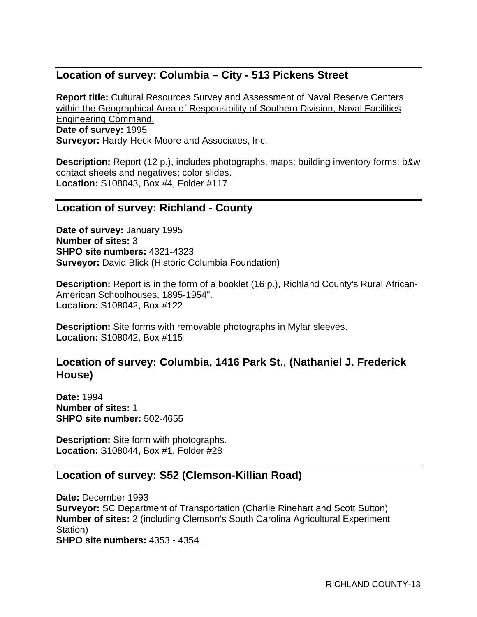# **Location of survey: Columbia – City - 513 Pickens Street**

**Report title:** Cultural Resources Survey and Assessment of Naval Reserve Centers within the Geographical Area of Responsibility of Southern Division, Naval Facilities Engineering Command. **Date of survey:** 1995 **Surveyor:** Hardy-Heck-Moore and Associates, Inc.

**Description:** Report (12 p.), includes photographs, maps; building inventory forms; b&w contact sheets and negatives; color slides. **Location:** S108043, Box #4, Folder #117

#### **Location of survey: Richland - County**

**Date of survey:** January 1995 **Number of sites:** 3 **SHPO site numbers:** 4321-4323 **Surveyor:** David Blick (Historic Columbia Foundation)

**Description:** Report is in the form of a booklet (16 p.), Richland County's Rural African-American Schoolhouses, 1895-1954". **Location:** S108042, Box #122

**Description:** Site forms with removable photographs in Mylar sleeves. **Location:** S108042, Box #115

## **Location of survey: Columbia, 1416 Park St.**, **(Nathaniel J. Frederick House)**

**Date:** 1994 **Number of sites:** 1 **SHPO site number:** 502-4655

**Description:** Site form with photographs. **Location:** S108044, Box #1, Folder #28

# **Location of survey: S52 (Clemson-Killian Road)**

**Date:** December 1993 **Surveyor:** SC Department of Transportation (Charlie Rinehart and Scott Sutton) **Number of sites:** 2 (including Clemson's South Carolina Agricultural Experiment Station) **SHPO site numbers:** 4353 - 4354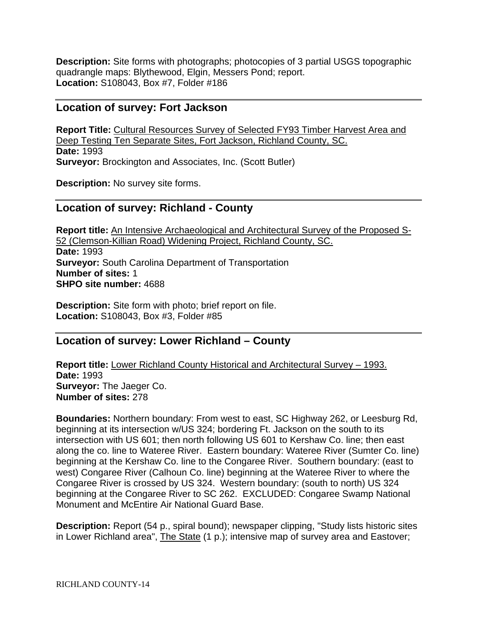**Description:** Site forms with photographs; photocopies of 3 partial USGS topographic quadrangle maps: Blythewood, Elgin, Messers Pond; report. **Location:** S108043, Box #7, Folder #186

#### **Location of survey: Fort Jackson**

**Report Title:** Cultural Resources Survey of Selected FY93 Timber Harvest Area and Deep Testing Ten Separate Sites, Fort Jackson, Richland County, SC. **Date:** 1993 **Surveyor:** Brockington and Associates, Inc. (Scott Butler)

**Description:** No survey site forms.

#### **Location of survey: Richland - County**

**Report title:** An Intensive Archaeological and Architectural Survey of the Proposed S-52 (Clemson-Killian Road) Widening Project, Richland County, SC. **Date:** 1993 **Surveyor:** South Carolina Department of Transportation **Number of sites:** 1 **SHPO site number:** 4688

**Description:** Site form with photo; brief report on file. **Location:** S108043, Box #3, Folder #85

# **Location of survey: Lower Richland – County**

**Report title:** Lower Richland County Historical and Architectural Survey – 1993. **Date:** 1993 **Surveyor:** The Jaeger Co. **Number of sites:** 278

**Boundaries:** Northern boundary: From west to east, SC Highway 262, or Leesburg Rd, beginning at its intersection w/US 324; bordering Ft. Jackson on the south to its intersection with US 601; then north following US 601 to Kershaw Co. line; then east along the co. line to Wateree River. Eastern boundary: Wateree River (Sumter Co. line) beginning at the Kershaw Co. line to the Congaree River. Southern boundary: (east to west) Congaree River (Calhoun Co. line) beginning at the Wateree River to where the Congaree River is crossed by US 324. Western boundary: (south to north) US 324 beginning at the Congaree River to SC 262. EXCLUDED: Congaree Swamp National Monument and McEntire Air National Guard Base.

**Description:** Report (54 p., spiral bound); newspaper clipping, "Study lists historic sites in Lower Richland area", The State (1 p.); intensive map of survey area and Eastover;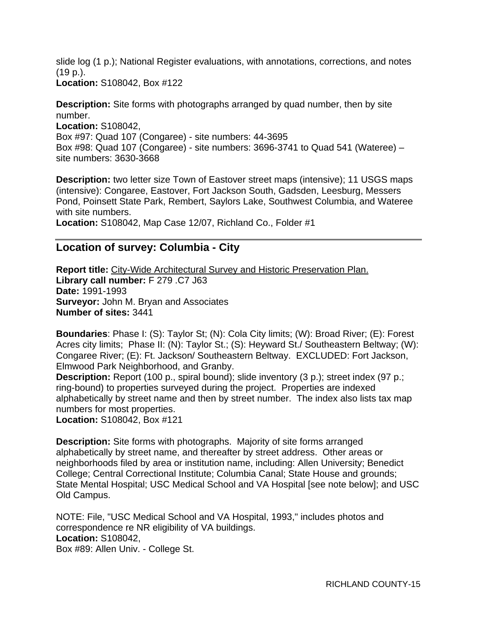slide log (1 p.); National Register evaluations, with annotations, corrections, and notes (19 p.).

**Location:** S108042, Box #122

**Description:** Site forms with photographs arranged by quad number, then by site number.

**Location:** S108042, Box #97: Quad 107 (Congaree) - site numbers: 44-3695 Box #98: Quad 107 (Congaree) - site numbers: 3696-3741 to Quad 541 (Wateree) – site numbers: 3630-3668

**Description:** two letter size Town of Eastover street maps (intensive); 11 USGS maps (intensive): Congaree, Eastover, Fort Jackson South, Gadsden, Leesburg, Messers Pond, Poinsett State Park, Rembert, Saylors Lake, Southwest Columbia, and Wateree with site numbers.

**Location:** S108042, Map Case 12/07, Richland Co., Folder #1

# **Location of survey: Columbia - City**

**Report title:** City-Wide Architectural Survey and Historic Preservation Plan. **Library call number:** F 279 .C7 J63 **Date:** 1991-1993 **Surveyor:** John M. Bryan and Associates **Number of sites:** 3441

**Boundaries**: Phase I: (S): Taylor St; (N): Cola City limits; (W): Broad River; (E): Forest Acres city limits; Phase II: (N): Taylor St.; (S): Heyward St./ Southeastern Beltway; (W): Congaree River; (E): Ft. Jackson/ Southeastern Beltway. EXCLUDED: Fort Jackson, Elmwood Park Neighborhood, and Granby.

**Description:** Report (100 p., spiral bound); slide inventory (3 p.); street index (97 p.; ring-bound) to properties surveyed during the project. Properties are indexed alphabetically by street name and then by street number. The index also lists tax map numbers for most properties.

**Location:** S108042, Box #121

**Description:** Site forms with photographs. Majority of site forms arranged alphabetically by street name, and thereafter by street address. Other areas or neighborhoods filed by area or institution name, including: Allen University; Benedict College; Central Correctional Institute; Columbia Canal; State House and grounds; State Mental Hospital; USC Medical School and VA Hospital [see note below]; and USC Old Campus.

NOTE: File, "USC Medical School and VA Hospital, 1993," includes photos and correspondence re NR eligibility of VA buildings. **Location:** S108042, Box #89: Allen Univ. - College St.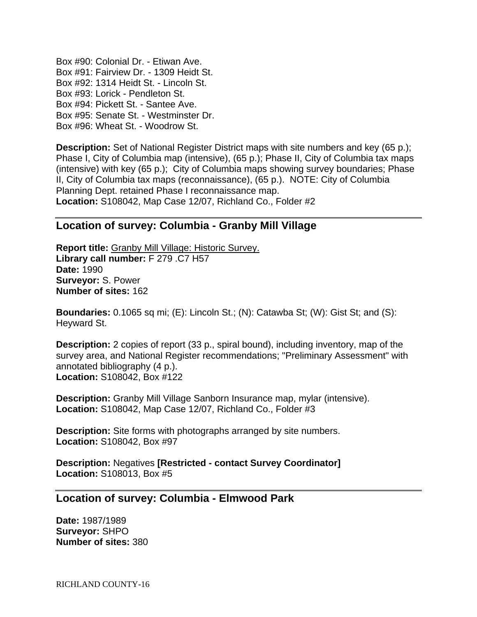Box #90: Colonial Dr. - Etiwan Ave. Box #91: Fairview Dr. - 1309 Heidt St. Box #92: 1314 Heidt St. - Lincoln St. Box #93: Lorick - Pendleton St. Box #94: Pickett St. - Santee Ave. Box #95: Senate St. - Westminster Dr. Box #96: Wheat St. - Woodrow St.

**Description:** Set of National Register District maps with site numbers and key (65 p.); Phase I, City of Columbia map (intensive), (65 p.); Phase II, City of Columbia tax maps (intensive) with key (65 p.); City of Columbia maps showing survey boundaries; Phase II, City of Columbia tax maps (reconnaissance), (65 p.). NOTE: City of Columbia Planning Dept. retained Phase I reconnaissance map. **Location:** S108042, Map Case 12/07, Richland Co., Folder #2

## **Location of survey: Columbia - Granby Mill Village**

**Report title:** Granby Mill Village: Historic Survey. **Library call number:** F 279 .C7 H57 **Date:** 1990 **Surveyor:** S. Power **Number of sites:** 162

**Boundaries:** 0.1065 sq mi; (E): Lincoln St.; (N): Catawba St; (W): Gist St; and (S): Heyward St.

**Description:** 2 copies of report (33 p., spiral bound), including inventory, map of the survey area, and National Register recommendations; "Preliminary Assessment" with annotated bibliography (4 p.). **Location:** S108042, Box #122

**Description:** Granby Mill Village Sanborn Insurance map, mylar (intensive). **Location:** S108042, Map Case 12/07, Richland Co., Folder #3

**Description:** Site forms with photographs arranged by site numbers. **Location:** S108042, Box #97

**Description:** Negatives **[Restricted - contact Survey Coordinator] Location:** S108013, Box #5

#### **Location of survey: Columbia - Elmwood Park**

**Date:** 1987/1989 **Surveyor:** SHPO **Number of sites:** 380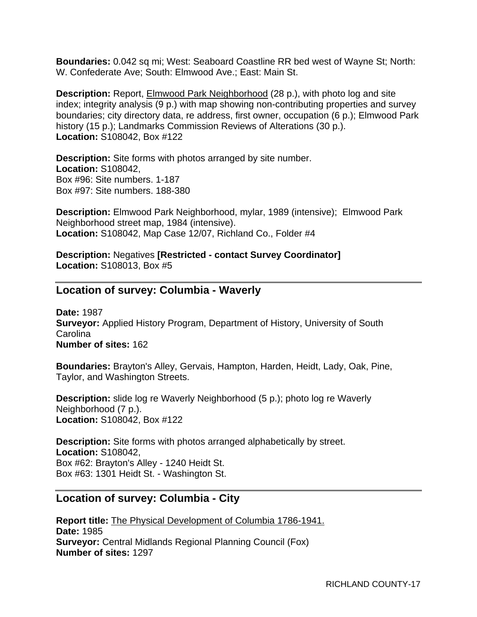**Boundaries:** 0.042 sq mi; West: Seaboard Coastline RR bed west of Wayne St; North: W. Confederate Ave; South: Elmwood Ave.; East: Main St.

**Description:** Report, **Elmwood Park Neighborhood** (28 p.), with photo log and site index; integrity analysis (9 p.) with map showing non-contributing properties and survey boundaries; city directory data, re address, first owner, occupation (6 p.); Elmwood Park history (15 p.); Landmarks Commission Reviews of Alterations (30 p.). **Location:** S108042, Box #122

**Description:** Site forms with photos arranged by site number. **Location:** S108042, Box #96: Site numbers. 1-187 Box #97: Site numbers. 188-380

**Description:** Elmwood Park Neighborhood, mylar, 1989 (intensive); Elmwood Park Neighborhood street map, 1984 (intensive). **Location:** S108042, Map Case 12/07, Richland Co., Folder #4

**Description:** Negatives **[Restricted - contact Survey Coordinator] Location:** S108013, Box #5

## **Location of survey: Columbia - Waverly**

**Date:** 1987 **Surveyor:** Applied History Program, Department of History, University of South **Carolina Number of sites:** 162

**Boundaries:** Brayton's Alley, Gervais, Hampton, Harden, Heidt, Lady, Oak, Pine, Taylor, and Washington Streets.

**Description:** slide log re Waverly Neighborhood (5 p.); photo log re Waverly Neighborhood (7 p.). **Location:** S108042, Box #122

**Description:** Site forms with photos arranged alphabetically by street. **Location:** S108042, Box #62: Brayton's Alley - 1240 Heidt St. Box #63: 1301 Heidt St. - Washington St.

# **Location of survey: Columbia - City**

**Report title:** The Physical Development of Columbia 1786-1941. **Date:** 1985 **Surveyor:** Central Midlands Regional Planning Council (Fox) **Number of sites:** 1297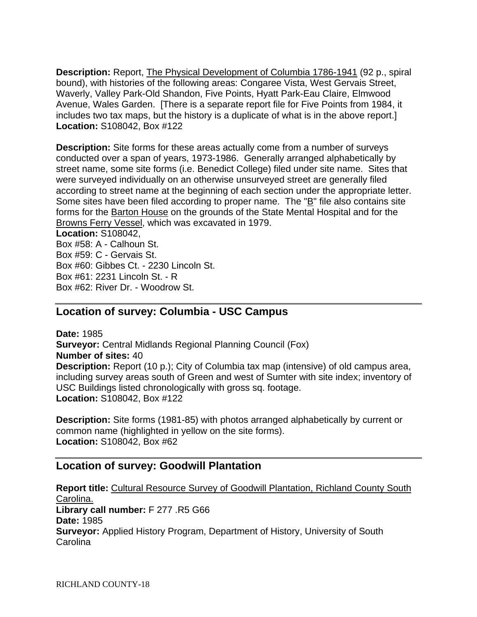**Description:** Report, The Physical Development of Columbia 1786-1941 (92 p., spiral bound), with histories of the following areas: Congaree Vista, West Gervais Street, Waverly, Valley Park-Old Shandon, Five Points, Hyatt Park-Eau Claire, Elmwood Avenue, Wales Garden. [There is a separate report file for Five Points from 1984, it includes two tax maps, but the history is a duplicate of what is in the above report.] **Location:** S108042, Box #122

**Description:** Site forms for these areas actually come from a number of surveys conducted over a span of years, 1973-1986. Generally arranged alphabetically by street name, some site forms (i.e. Benedict College) filed under site name. Sites that were surveyed individually on an otherwise unsurveyed street are generally filed according to street name at the beginning of each section under the appropriate letter. Some sites have been filed according to proper name. The " $\underline{B}$ " file also contains site forms for the **Barton House** on the grounds of the State Mental Hospital and for the Browns Ferry Vessel, which was excavated in 1979. **Location:** S108042,

Box #58: A - Calhoun St. Box #59: C - Gervais St. Box #60: Gibbes Ct. - 2230 Lincoln St. Box #61: 2231 Lincoln St. - R Box #62: River Dr. - Woodrow St.

# **Location of survey: Columbia - USC Campus**

**Date:** 1985 **Surveyor:** Central Midlands Regional Planning Council (Fox) **Number of sites:** 40 **Description:** Report (10 p.); City of Columbia tax map (intensive) of old campus area, including survey areas south of Green and west of Sumter with site index; inventory of USC Buildings listed chronologically with gross sq. footage. **Location:** S108042, Box #122

**Description:** Site forms (1981-85) with photos arranged alphabetically by current or common name (highlighted in yellow on the site forms). **Location:** S108042, Box #62

# **Location of survey: Goodwill Plantation**

**Report title:** Cultural Resource Survey of Goodwill Plantation, Richland County South Carolina. **Library call number:** F 277 .R5 G66 **Date:** 1985 **Surveyor:** Applied History Program, Department of History, University of South Carolina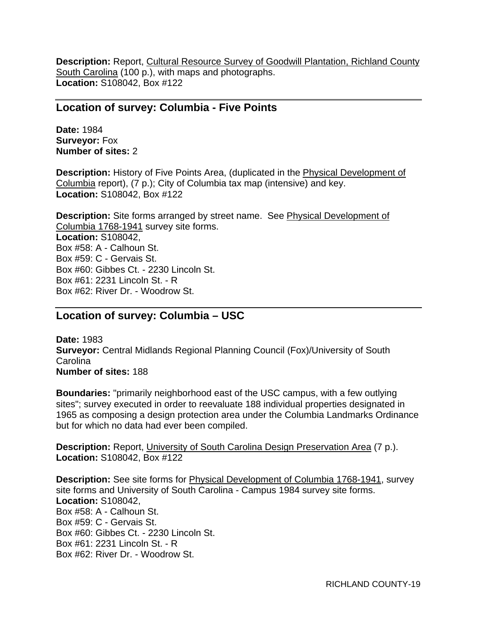**Description:** Report, Cultural Resource Survey of Goodwill Plantation, Richland County South Carolina (100 p.), with maps and photographs. **Location:** S108042, Box #122

#### **Location of survey: Columbia - Five Points**

**Date:** 1984 **Surveyor:** Fox **Number of sites:** 2

**Description:** History of Five Points Area, (duplicated in the **Physical Development of** Columbia report), (7 p.); City of Columbia tax map (intensive) and key. **Location:** S108042, Box #122

**Description:** Site forms arranged by street name. See Physical Development of Columbia 1768-1941 survey site forms. **Location:** S108042, Box #58: A - Calhoun St. Box #59: C - Gervais St. Box #60: Gibbes Ct. - 2230 Lincoln St. Box #61: 2231 Lincoln St. - R Box #62: River Dr. - Woodrow St.

# **Location of survey: Columbia – USC**

**Date:** 1983 **Surveyor:** Central Midlands Regional Planning Council (Fox)/University of South Carolina **Number of sites:** 188

**Boundaries:** "primarily neighborhood east of the USC campus, with a few outlying sites"; survey executed in order to reevaluate 188 individual properties designated in 1965 as composing a design protection area under the Columbia Landmarks Ordinance but for which no data had ever been compiled.

**Description:** Report, University of South Carolina Design Preservation Area (7 p.). **Location:** S108042, Box #122

**Description:** See site forms for **Physical Development of Columbia 1768-1941**, survey site forms and University of South Carolina - Campus 1984 survey site forms. **Location:** S108042, Box #58: A - Calhoun St. Box #59: C - Gervais St. Box #60: Gibbes Ct. - 2230 Lincoln St. Box #61: 2231 Lincoln St. - R Box #62: River Dr. - Woodrow St.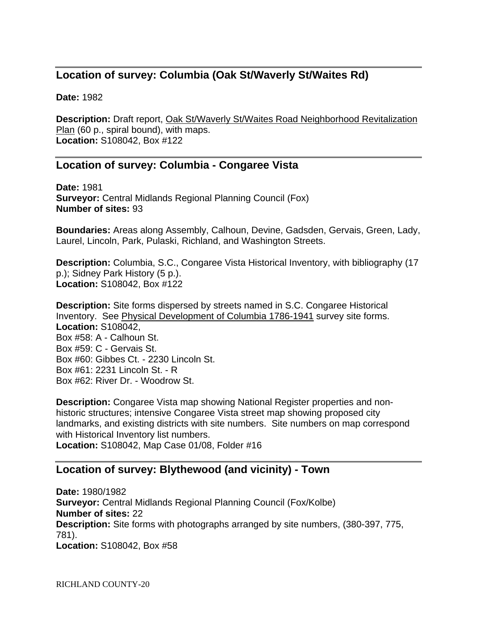# **Location of survey: Columbia (Oak St/Waverly St/Waites Rd)**

**Date:** 1982

**Description:** Draft report, Oak St/Waverly St/Waites Road Neighborhood Revitalization Plan (60 p., spiral bound), with maps. **Location:** S108042, Box #122

# **Location of survey: Columbia - Congaree Vista**

**Date:** 1981 **Surveyor:** Central Midlands Regional Planning Council (Fox) **Number of sites:** 93

**Boundaries:** Areas along Assembly, Calhoun, Devine, Gadsden, Gervais, Green, Lady, Laurel, Lincoln, Park, Pulaski, Richland, and Washington Streets.

**Description:** Columbia, S.C., Congaree Vista Historical Inventory, with bibliography (17 p.); Sidney Park History (5 p.). **Location:** S108042, Box #122

**Description:** Site forms dispersed by streets named in S.C. Congaree Historical Inventory. See Physical Development of Columbia 1786-1941 survey site forms. **Location:** S108042, Box #58: A - Calhoun St. Box #59: C - Gervais St. Box #60: Gibbes Ct. - 2230 Lincoln St. Box #61: 2231 Lincoln St. - R Box #62: River Dr. - Woodrow St.

**Description:** Congaree Vista map showing National Register properties and nonhistoric structures; intensive Congaree Vista street map showing proposed city landmarks, and existing districts with site numbers. Site numbers on map correspond with Historical Inventory list numbers. **Location:** S108042, Map Case 01/08, Folder #16

# **Location of survey: Blythewood (and vicinity) - Town**

**Date:** 1980/1982 **Surveyor:** Central Midlands Regional Planning Council (Fox/Kolbe) **Number of sites:** 22 **Description:** Site forms with photographs arranged by site numbers, (380-397, 775, 781). **Location:** S108042, Box #58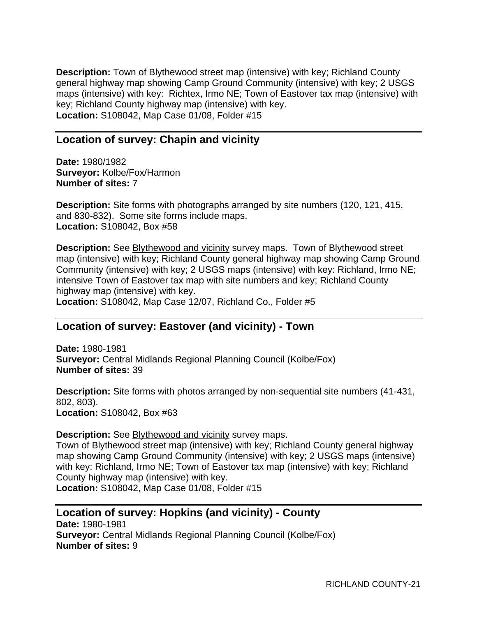**Description:** Town of Blythewood street map (intensive) with key; Richland County general highway map showing Camp Ground Community (intensive) with key; 2 USGS maps (intensive) with key: Richtex, Irmo NE; Town of Eastover tax map (intensive) with key; Richland County highway map (intensive) with key. **Location:** S108042, Map Case 01/08, Folder #15

# **Location of survey: Chapin and vicinity**

**Date:** 1980/1982 **Surveyor:** Kolbe/Fox/Harmon **Number of sites:** 7

**Description:** Site forms with photographs arranged by site numbers (120, 121, 415, and 830-832). Some site forms include maps. **Location:** S108042, Box #58

**Description:** See Blythewood and vicinity survey maps. Town of Blythewood street map (intensive) with key; Richland County general highway map showing Camp Ground Community (intensive) with key; 2 USGS maps (intensive) with key: Richland, Irmo NE; intensive Town of Eastover tax map with site numbers and key; Richland County highway map (intensive) with key.

**Location:** S108042, Map Case 12/07, Richland Co., Folder #5

# **Location of survey: Eastover (and vicinity) - Town**

**Date:** 1980-1981 **Surveyor:** Central Midlands Regional Planning Council (Kolbe/Fox) **Number of sites:** 39

**Description:** Site forms with photos arranged by non-sequential site numbers (41-431, 802, 803). **Location:** S108042, Box #63

#### **Description:** See Blythewood and vicinity survey maps.

Town of Blythewood street map (intensive) with key; Richland County general highway map showing Camp Ground Community (intensive) with key; 2 USGS maps (intensive) with key: Richland, Irmo NE; Town of Eastover tax map (intensive) with key; Richland County highway map (intensive) with key. **Location:** S108042, Map Case 01/08, Folder #15

# **Location of survey: Hopkins (and vicinity) - County**

**Date:** 1980-1981 **Surveyor:** Central Midlands Regional Planning Council (Kolbe/Fox) **Number of sites:** 9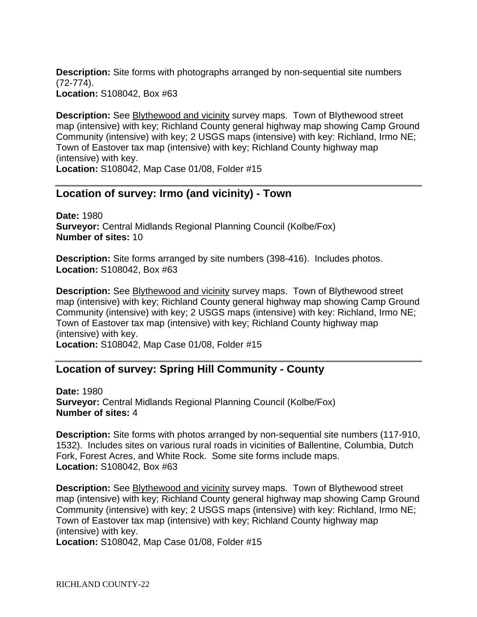**Description:** Site forms with photographs arranged by non-sequential site numbers (72-774). **Location:** S108042, Box #63

**Description:** See **Blythewood and vicinity** survey maps. Town of Blythewood street map (intensive) with key; Richland County general highway map showing Camp Ground Community (intensive) with key; 2 USGS maps (intensive) with key: Richland, Irmo NE; Town of Eastover tax map (intensive) with key; Richland County highway map (intensive) with key.

**Location:** S108042, Map Case 01/08, Folder #15

## **Location of survey: Irmo (and vicinity) - Town**

**Date:** 1980 **Surveyor:** Central Midlands Regional Planning Council (Kolbe/Fox) **Number of sites:** 10

**Description:** Site forms arranged by site numbers (398-416). Includes photos. **Location:** S108042, Box #63

**Description:** See **Blythewood and vicinity** survey maps. Town of Blythewood street map (intensive) with key; Richland County general highway map showing Camp Ground Community (intensive) with key; 2 USGS maps (intensive) with key: Richland, Irmo NE; Town of Eastover tax map (intensive) with key; Richland County highway map (intensive) with key.

**Location:** S108042, Map Case 01/08, Folder #15

# **Location of survey: Spring Hill Community - County**

**Date:** 1980 **Surveyor:** Central Midlands Regional Planning Council (Kolbe/Fox) **Number of sites:** 4

**Description:** Site forms with photos arranged by non-sequential site numbers (117-910, 1532). Includes sites on various rural roads in vicinities of Ballentine, Columbia, Dutch Fork, Forest Acres, and White Rock. Some site forms include maps. **Location:** S108042, Box #63

**Description:** See **Blythewood and vicinity** survey maps. Town of Blythewood street map (intensive) with key; Richland County general highway map showing Camp Ground Community (intensive) with key; 2 USGS maps (intensive) with key: Richland, Irmo NE; Town of Eastover tax map (intensive) with key; Richland County highway map (intensive) with key. **Location:** S108042, Map Case 01/08, Folder #15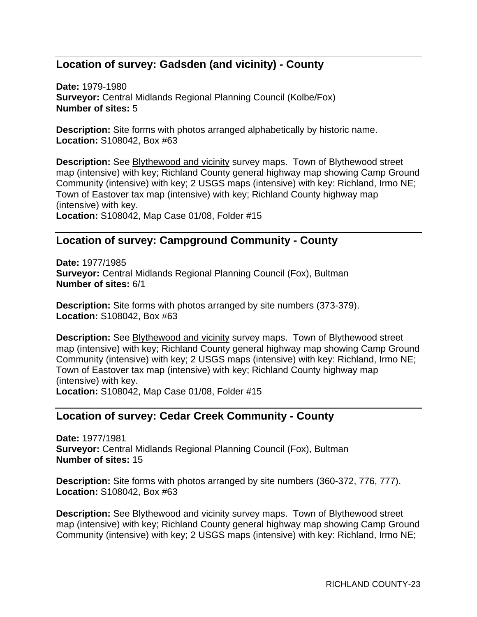# **Location of survey: Gadsden (and vicinity) - County**

**Date:** 1979-1980 **Surveyor:** Central Midlands Regional Planning Council (Kolbe/Fox) **Number of sites:** 5

**Description:** Site forms with photos arranged alphabetically by historic name. **Location:** S108042, Box #63

**Description:** See Blythewood and vicinity survey maps. Town of Blythewood street map (intensive) with key; Richland County general highway map showing Camp Ground Community (intensive) with key; 2 USGS maps (intensive) with key: Richland, Irmo NE; Town of Eastover tax map (intensive) with key; Richland County highway map (intensive) with key. **Location:** S108042, Map Case 01/08, Folder #15

# **Location of survey: Campground Community - County**

**Date:** 1977/1985 **Surveyor:** Central Midlands Regional Planning Council (Fox), Bultman **Number of sites:** 6/1

**Description:** Site forms with photos arranged by site numbers (373-379). **Location:** S108042, Box #63

**Description:** See **Blythewood and vicinity** survey maps. Town of Blythewood street map (intensive) with key; Richland County general highway map showing Camp Ground Community (intensive) with key; 2 USGS maps (intensive) with key: Richland, Irmo NE; Town of Eastover tax map (intensive) with key; Richland County highway map (intensive) with key. **Location:** S108042, Map Case 01/08, Folder #15

#### **Location of survey: Cedar Creek Community - County**

**Date:** 1977/1981 **Surveyor:** Central Midlands Regional Planning Council (Fox), Bultman **Number of sites:** 15

**Description:** Site forms with photos arranged by site numbers (360-372, 776, 777). **Location:** S108042, Box #63

**Description:** See Blythewood and vicinity survey maps. Town of Blythewood street map (intensive) with key; Richland County general highway map showing Camp Ground Community (intensive) with key; 2 USGS maps (intensive) with key: Richland, Irmo NE;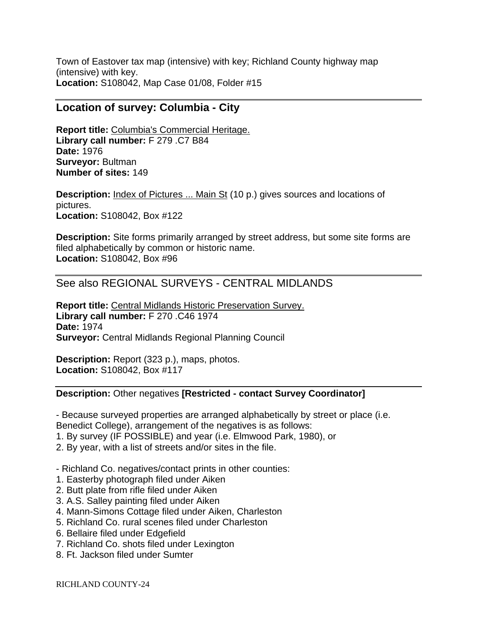Town of Eastover tax map (intensive) with key; Richland County highway map (intensive) with key. **Location:** S108042, Map Case 01/08, Folder #15

## **Location of survey: Columbia - City**

**Report title:** Columbia's Commercial Heritage. **Library call number:** F 279 .C7 B84 **Date:** 1976 **Surveyor:** Bultman **Number of sites:** 149

**Description:** Index of Pictures ... Main St (10 p.) gives sources and locations of pictures. **Location:** S108042, Box #122

**Description:** Site forms primarily arranged by street address, but some site forms are filed alphabetically by common or historic name. **Location:** S108042, Box #96

# See also REGIONAL SURVEYS - CENTRAL MIDLANDS

**Report title:** Central Midlands Historic Preservation Survey. **Library call number:** F 270 .C46 1974 **Date:** 1974 **Surveyor:** Central Midlands Regional Planning Council

**Description:** Report (323 p.), maps, photos. **Location:** S108042, Box #117

#### **Description:** Other negatives **[Restricted - contact Survey Coordinator]**

- Because surveyed properties are arranged alphabetically by street or place (i.e. Benedict College), arrangement of the negatives is as follows:

- 1. By survey (IF POSSIBLE) and year (i.e. Elmwood Park, 1980), or
- 2. By year, with a list of streets and/or sites in the file.

- Richland Co. negatives/contact prints in other counties:

- 1. Easterby photograph filed under Aiken
- 2. Butt plate from rifle filed under Aiken
- 3. A.S. Salley painting filed under Aiken
- 4. Mann-Simons Cottage filed under Aiken, Charleston
- 5. Richland Co. rural scenes filed under Charleston
- 6. Bellaire filed under Edgefield
- 7. Richland Co. shots filed under Lexington
- 8. Ft. Jackson filed under Sumter

RICHLAND COUNTY-24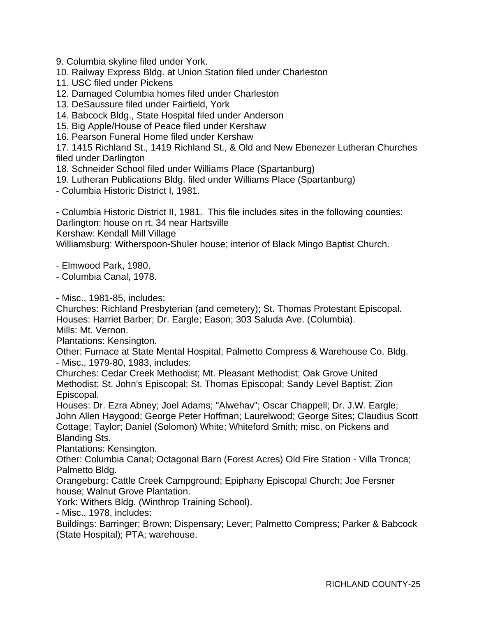9. Columbia skyline filed under York.

10. Railway Express Bldg. at Union Station filed under Charleston

11. USC filed under Pickens

12. Damaged Columbia homes filed under Charleston

13. DeSaussure filed under Fairfield, York

14. Babcock Bldg., State Hospital filed under Anderson

15. Big Apple/House of Peace filed under Kershaw

16. Pearson Funeral Home filed under Kershaw

17. 1415 Richland St., 1419 Richland St., & Old and New Ebenezer Lutheran Churches filed under Darlington

18. Schneider School filed under Williams Place (Spartanburg)

19. Lutheran Publications Bldg. filed under Williams Place (Spartanburg)

- Columbia Historic District I, 1981.

- Columbia Historic District II, 1981. This file includes sites in the following counties: Darlington: house on rt. 34 near Hartsville

Kershaw: Kendall Mill Village

Williamsburg: Witherspoon-Shuler house; interior of Black Mingo Baptist Church.

- Elmwood Park, 1980.

- Columbia Canal, 1978.

- Misc., 1981-85, includes:

Churches: Richland Presbyterian (and cemetery); St. Thomas Protestant Episcopal. Houses: Harriet Barber; Dr. Eargle; Eason; 303 Saluda Ave. (Columbia). Mills: Mt. Vernon.

Plantations: Kensington.

Other: Furnace at State Mental Hospital; Palmetto Compress & Warehouse Co. Bldg. - Misc., 1979-80, 1983, includes:

Churches: Cedar Creek Methodist; Mt. Pleasant Methodist; Oak Grove United Methodist; St. John's Episcopal; St. Thomas Episcopal; Sandy Level Baptist; Zion Episcopal.

Houses: Dr. Ezra Abney; Joel Adams; "Alwehav"; Oscar Chappell; Dr. J.W. Eargle; John Allen Haygood; George Peter Hoffman; Laurelwood; George Sites; Claudius Scott Cottage; Taylor; Daniel (Solomon) White; Whiteford Smith; misc. on Pickens and Blanding Sts.

Plantations: Kensington.

Other: Columbia Canal; Octagonal Barn (Forest Acres) Old Fire Station - Villa Tronca; Palmetto Bldg.

Orangeburg: Cattle Creek Campground; Epiphany Episcopal Church; Joe Fersner house; Walnut Grove Plantation.

York: Withers Bldg. (Winthrop Training School).

- Misc., 1978, includes:

Buildings: Barringer; Brown; Dispensary; Lever; Palmetto Compress; Parker & Babcock (State Hospital); PTA; warehouse.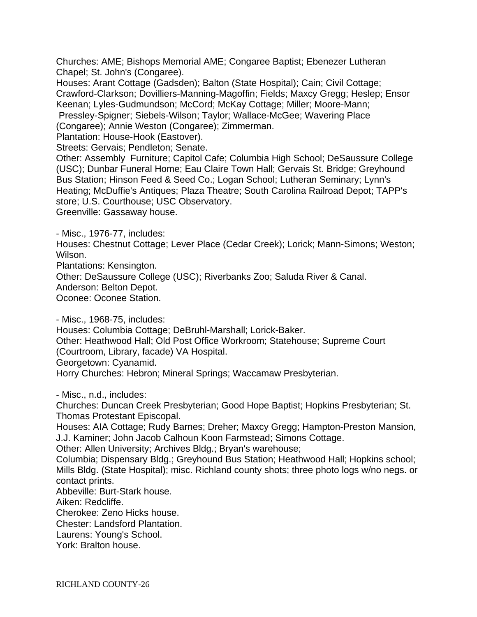Churches: AME; Bishops Memorial AME; Congaree Baptist; Ebenezer Lutheran Chapel; St. John's (Congaree).

Houses: Arant Cottage (Gadsden); Balton (State Hospital); Cain; Civil Cottage; Crawford-Clarkson; Dovilliers-Manning-Magoffin; Fields; Maxcy Gregg; Heslep; Ensor Keenan; Lyles-Gudmundson; McCord; McKay Cottage; Miller; Moore-Mann; Pressley-Spigner; Siebels-Wilson; Taylor; Wallace-McGee; Wavering Place

(Congaree); Annie Weston (Congaree); Zimmerman.

Plantation: House-Hook (Eastover).

Streets: Gervais; Pendleton; Senate.

Other: Assembly Furniture; Capitol Cafe; Columbia High School; DeSaussure College (USC); Dunbar Funeral Home; Eau Claire Town Hall; Gervais St. Bridge; Greyhound Bus Station; Hinson Feed & Seed Co.; Logan School; Lutheran Seminary; Lynn's Heating; McDuffie's Antiques; Plaza Theatre; South Carolina Railroad Depot; TAPP's store; U.S. Courthouse; USC Observatory.

Greenville: Gassaway house.

- Misc., 1976-77, includes:

Houses: Chestnut Cottage; Lever Place (Cedar Creek); Lorick; Mann-Simons; Weston; Wilson.

Plantations: Kensington.

Other: DeSaussure College (USC); Riverbanks Zoo; Saluda River & Canal.

Anderson: Belton Depot.

Oconee: Oconee Station.

- Misc., 1968-75, includes:

Houses: Columbia Cottage; DeBruhl-Marshall; Lorick-Baker.

Other: Heathwood Hall; Old Post Office Workroom; Statehouse; Supreme Court (Courtroom, Library, facade) VA Hospital.

Georgetown: Cyanamid.

Horry Churches: Hebron; Mineral Springs; Waccamaw Presbyterian.

- Misc., n.d., includes:

Churches: Duncan Creek Presbyterian; Good Hope Baptist; Hopkins Presbyterian; St. Thomas Protestant Episcopal.

Houses: AIA Cottage; Rudy Barnes; Dreher; Maxcy Gregg; Hampton-Preston Mansion, J.J. Kaminer; John Jacob Calhoun Koon Farmstead; Simons Cottage.

Other: Allen University; Archives Bldg.; Bryan's warehouse;

Columbia; Dispensary Bldg.; Greyhound Bus Station; Heathwood Hall; Hopkins school; Mills Bldg. (State Hospital); misc. Richland county shots; three photo logs w/no negs. or contact prints.

Abbeville: Burt-Stark house.

Aiken: Redcliffe.

Cherokee: Zeno Hicks house.

Chester: Landsford Plantation.

Laurens: Young's School.

York: Bralton house.